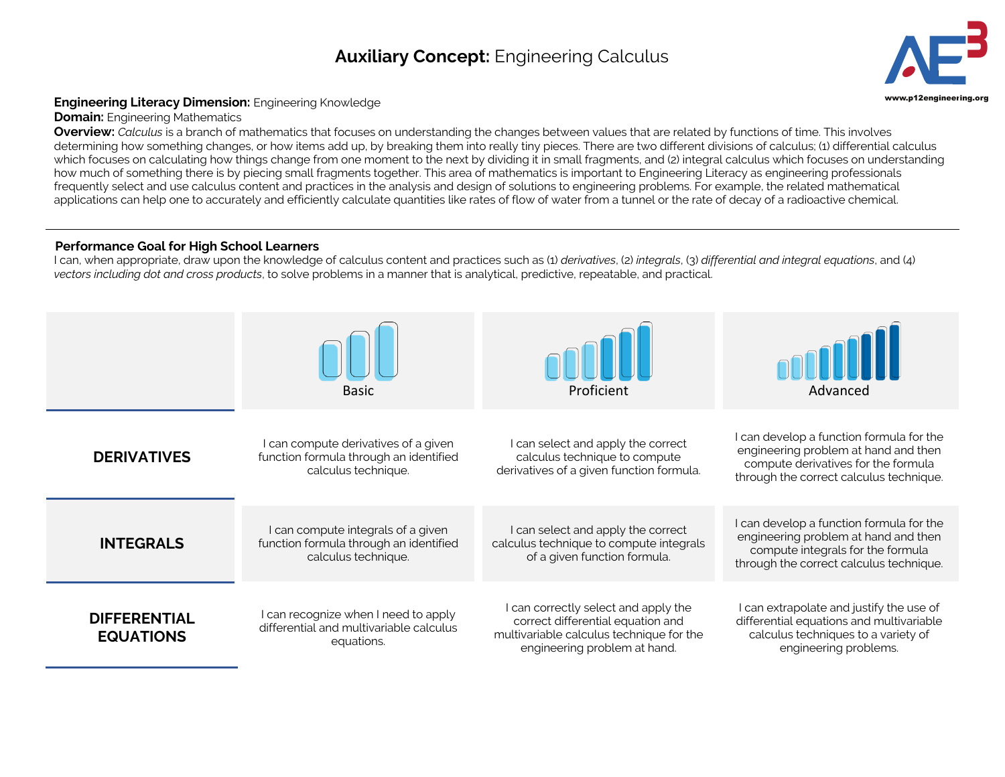## **Auxiliary Concept:** Engineering Calculus **3**



## **Engineering Literacy Dimension:** Engineering Knowledge **Engineering.org Community Community** Community Community Community Community Community Community Community Community Community Community Community Community Communit

**Domain:** Engineering Mathematics

**Overview:** *Calculus* is a branch of mathematics that focuses on understanding the changes between values that are related by functions of time. This involves determining how something changes, or how items add up, by breaking them into really tiny pieces. There are two different divisions of calculus; (1) differential calculus which focuses on calculating how things change from one moment to the next by dividing it in small fragments, and (2) integral calculus which focuses on understanding how much of something there is by piecing small fragments together. This area of mathematics is important to Engineering Literacy as engineering professionals frequently select and use calculus content and practices in the analysis and design of solutions to engineering problems. For example, the related mathematical applications can help one to accurately and efficiently calculate quantities like rates of flow of water from a tunnel or the rate of decay of a radioactive chemical.

## **Performance Goal for High School Learners**

I can, when appropriate, draw upon the knowledge of calculus content and practices such as (1) *derivatives*, (2) *integrals*, (3) *differential and integral equations*, and (4) *vectors including dot and cross products*, to solve problems in a manner that is analytical, predictive, repeatable, and practical.